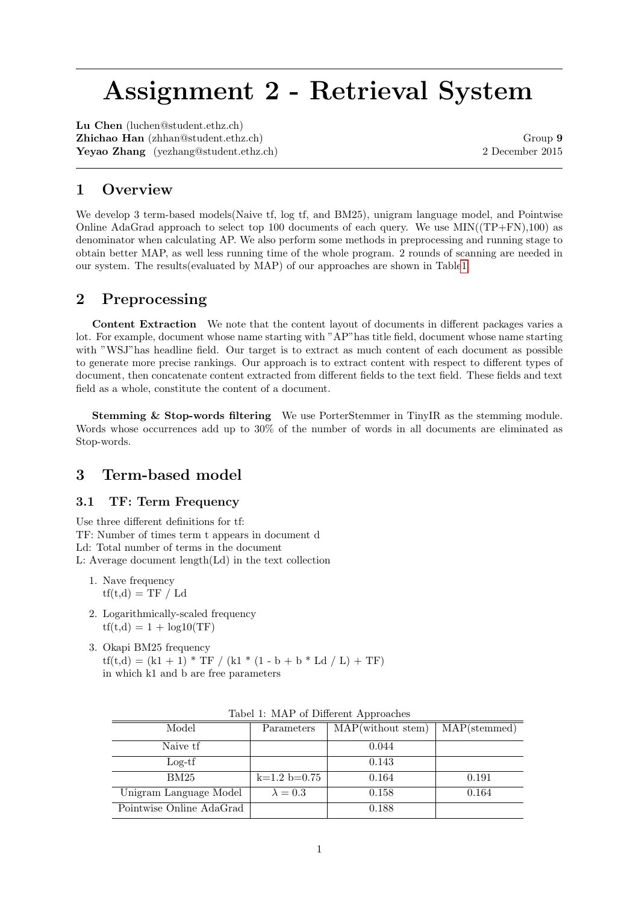# Assignment 2 - Retrieval System

Lu Chen (luchen@student.ethz.ch) Zhichao Han (zhhan@student.ethz.ch) Group 9 Yeyao Zhang (yezhang@student.ethz.ch) 2 December 2015

# 1 Overview

We develop 3 term-based models(Naive tf, log tf, and BM25), unigram language model, and Pointwise Online AdaGrad approach to select top 100 documents of each query. We use  $MIN((TP+FN),100)$  as denominator when calculating AP. We also perform some methods in preprocessing and running stage to obtain better MAP, as well less running time of the whole program. 2 rounds of scanning are needed in our system. The results(evaluated by MAP) of our approaches are shown in Tabl[e1](#page-0-0)

## 2 Preprocessing

Content Extraction We note that the content layout of documents in different packages varies a lot. For example, document whose name starting with "AP"has title field, document whose name starting with "WSJ"has headline field. Our target is to extract as much content of each document as possible to generate more precise rankings. Our approach is to extract content with respect to different types of document, then concatenate content extracted from different fields to the text field. These fields and text field as a whole, constitute the content of a document.

Stemming & Stop-words filtering We use PorterStemmer in TinyIR as the stemming module. Words whose occurrences add up to 30% of the number of words in all documents are eliminated as Stop-words.

## 3 Term-based model

#### 3.1 TF: Term Frequency

Use three different definitions for tf: TF: Number of times term t appears in document d Ld: Total number of terms in the document L: Average document length(Ld) in the text collection

- 1. Nave frequency  $\text{tf}(t,d) = \text{TF} / \text{Ld}$
- 2. Logarithmically-scaled frequency  $tf(t,d) = 1 + log10(TF)$
- 3. Okapi BM25 frequency  $tf(t,d) = (k1 + 1) * TF / (k1 * (1 - b + b * Ld / L) + TF)$ in which k1 and b are free parameters

| ras of reflect or Bill of the report of the |                 |                   |              |  |
|---------------------------------------------|-----------------|-------------------|--------------|--|
| Model                                       | Parameters      | MAP(without stem) | MAP(stemmed) |  |
| Naive tf                                    |                 | 0.044             |              |  |
| $Log-tf$                                    |                 | 0.143             |              |  |
| BM25                                        | $k=1.2$ b=0.75  | 0.164             | 0.191        |  |
| Unigram Language Model                      | $\lambda = 0.3$ | 0.158             | 0.164        |  |
| Pointwise Online AdaGrad                    |                 | 0.188             |              |  |

<span id="page-0-0"></span>

|  |  |  | Tabel 1: MAP of Different Approaches |  |
|--|--|--|--------------------------------------|--|
|--|--|--|--------------------------------------|--|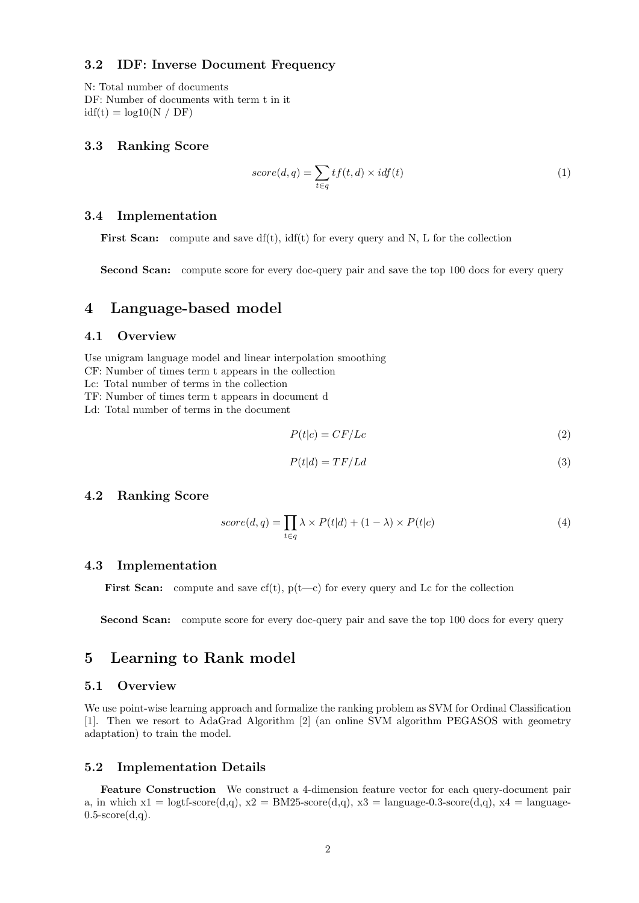#### 3.2 IDF: Inverse Document Frequency

N: Total number of documents DF: Number of documents with term t in it  $idf(t) = log10(N / DF)$ 

#### 3.3 Ranking Score

$$
score(d, q) = \sum_{t \in q} tf(t, d) \times idf(t)
$$
\n(1)

#### 3.4 Implementation

**First Scan:** compute and save  $df(t)$ ,  $idf(t)$  for every query and N, L for the collection

Second Scan: compute score for every doc-query pair and save the top 100 docs for every query

## 4 Language-based model

#### 4.1 Overview

Use unigram language model and linear interpolation smoothing

CF: Number of times term t appears in the collection

- Lc: Total number of terms in the collection
- TF: Number of times term t appears in document d

Ld: Total number of terms in the document

$$
P(t|c) = CF/Lc \tag{2}
$$

$$
P(t|d) = TF/Ld \tag{3}
$$

#### 4.2 Ranking Score

$$
score(d, q) = \prod_{t \in q} \lambda \times P(t|d) + (1 - \lambda) \times P(t|c)
$$
\n<sup>(4)</sup>

#### 4.3 Implementation

First Scan: compute and save cf(t),  $p(t-c)$  for every query and Lc for the collection

Second Scan: compute score for every doc-query pair and save the top 100 docs for every query

## 5 Learning to Rank model

#### 5.1 Overview

We use point-wise learning approach and formalize the ranking problem as SVM for Ordinal Classification [1]. Then we resort to AdaGrad Algorithm [2] (an online SVM algorithm PEGASOS with geometry adaptation) to train the model.

#### 5.2 Implementation Details

Feature Construction We construct a 4-dimension feature vector for each query-document pair a, in which  $x1 = \text{logtf-score}(d,q)$ ,  $x2 = BM25-score(d,q)$ ,  $x3 = \text{language-0.3-score}(d,q)$ ,  $x4 = \text{language-0.3-score}(d,q)$  $0.5$ -score $(d,q)$ .